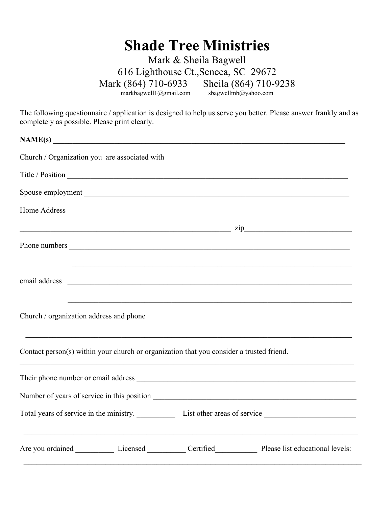## **Shade Tree Ministries**

Mark & Sheila Bagwell 616 Lighthouse Ct.,Seneca, SC 29672 Mark (864) 710-6933 Sheila (864) 710-9238<br>markbagwell1@gmail.com sbagwellmb@yahoo.com sbagwellmb@yahoo.com

The following questionnaire / application is designed to help us serve you better. Please answer frankly and as completely as possible. Please print clearly.

| $\mathbf{NAME(s)}$                                                                                                                                                                                                                                                                                                                                                   |
|----------------------------------------------------------------------------------------------------------------------------------------------------------------------------------------------------------------------------------------------------------------------------------------------------------------------------------------------------------------------|
| Church / Organization you are associated with ___________________________________                                                                                                                                                                                                                                                                                    |
|                                                                                                                                                                                                                                                                                                                                                                      |
|                                                                                                                                                                                                                                                                                                                                                                      |
|                                                                                                                                                                                                                                                                                                                                                                      |
| $\frac{1}{\sqrt{2}}$ $\frac{1}{\sqrt{2}}$ $\frac{1}{\sqrt{2}}$ $\frac{1}{\sqrt{2}}$ $\frac{1}{\sqrt{2}}$ $\frac{1}{\sqrt{2}}$ $\frac{1}{\sqrt{2}}$ $\frac{1}{\sqrt{2}}$ $\frac{1}{\sqrt{2}}$ $\frac{1}{\sqrt{2}}$ $\frac{1}{\sqrt{2}}$ $\frac{1}{\sqrt{2}}$ $\frac{1}{\sqrt{2}}$ $\frac{1}{\sqrt{2}}$ $\frac{1}{\sqrt{2}}$ $\frac{1}{\sqrt{2}}$ $\frac{1}{\sqrt{2}}$ |
|                                                                                                                                                                                                                                                                                                                                                                      |
|                                                                                                                                                                                                                                                                                                                                                                      |
| email address experience and the contract of the contract of the contract of the contract of the contract of the contract of the contract of the contract of the contract of the contract of the contract of the contract of t                                                                                                                                       |
| <u> 1989 - Johann John Stoff, deutscher Stoff, der Stoff, der Stoff, der Stoff, der Stoff, der Stoff, der Stoff, d</u>                                                                                                                                                                                                                                               |
| Contact person(s) within your church or organization that you consider a trusted friend.                                                                                                                                                                                                                                                                             |
|                                                                                                                                                                                                                                                                                                                                                                      |
|                                                                                                                                                                                                                                                                                                                                                                      |
|                                                                                                                                                                                                                                                                                                                                                                      |
|                                                                                                                                                                                                                                                                                                                                                                      |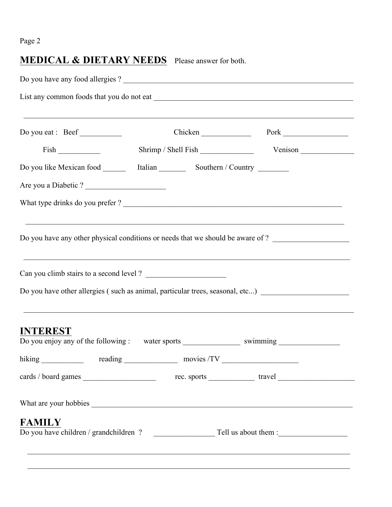## Page 2

## **MEDICAL & DIETARY NEEDS** Please answer for both.

| Do you have any food allergies?                                                                                                                         |            |                                                                                   |  |
|---------------------------------------------------------------------------------------------------------------------------------------------------------|------------|-----------------------------------------------------------------------------------|--|
|                                                                                                                                                         |            |                                                                                   |  |
| Do you eat : Beef                                                                                                                                       |            | Chicken Pork Pork                                                                 |  |
|                                                                                                                                                         |            |                                                                                   |  |
|                                                                                                                                                         |            |                                                                                   |  |
| Are you a Diabetic?                                                                                                                                     |            |                                                                                   |  |
| What type drinks do you prefer?                                                                                                                         |            |                                                                                   |  |
| Do you have any other physical conditions or needs that we should be aware of?                                                                          |            | ,我们也不能在这里的人,我们也不能在这里的人,我们也不能在这里的人,我们也不能在这里的人,我们也不能在这里的人,我们也不能在这里的人,我们也不能在这里的人,我们也 |  |
| Can you climb stairs to a second level ?<br>Do you have other allergies (such as animal, particular trees, seasonal, etc) _____________________________ |            |                                                                                   |  |
| <b>INTEREST</b>                                                                                                                                         |            |                                                                                   |  |
| hiking                                                                                                                                                  | movies /TV |                                                                                   |  |
|                                                                                                                                                         |            |                                                                                   |  |
|                                                                                                                                                         |            |                                                                                   |  |
| <b>FAMILY</b>                                                                                                                                           |            |                                                                                   |  |
|                                                                                                                                                         |            |                                                                                   |  |